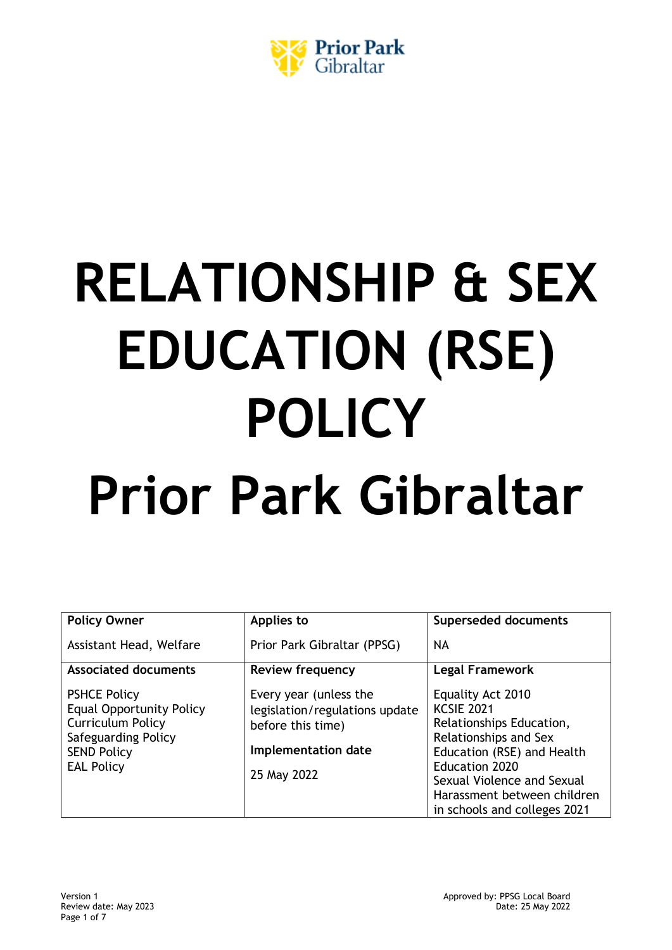

# **RELATIONSHIP & SEX EDUCATION (RSE) POLICY Prior Park Gibraltar**

| <b>Policy Owner</b>                                                                                                                                  | Applies to                                                                                                          | <b>Superseded documents</b>                                                                                                                                                                                                                     |
|------------------------------------------------------------------------------------------------------------------------------------------------------|---------------------------------------------------------------------------------------------------------------------|-------------------------------------------------------------------------------------------------------------------------------------------------------------------------------------------------------------------------------------------------|
| Assistant Head, Welfare                                                                                                                              | Prior Park Gibraltar (PPSG)                                                                                         | NA                                                                                                                                                                                                                                              |
| <b>Associated documents</b>                                                                                                                          | <b>Review frequency</b>                                                                                             | <b>Legal Framework</b>                                                                                                                                                                                                                          |
| <b>PSHCE Policy</b><br><b>Equal Opportunity Policy</b><br><b>Curriculum Policy</b><br>Safeguarding Policy<br><b>SEND Policy</b><br><b>EAL Policy</b> | Every year (unless the<br>legislation/regulations update<br>before this time)<br>Implementation date<br>25 May 2022 | Equality Act 2010<br><b>KCSIE 2021</b><br>Relationships Education,<br>Relationships and Sex<br>Education (RSE) and Health<br><b>Education 2020</b><br>Sexual Violence and Sexual<br>Harassment between children<br>in schools and colleges 2021 |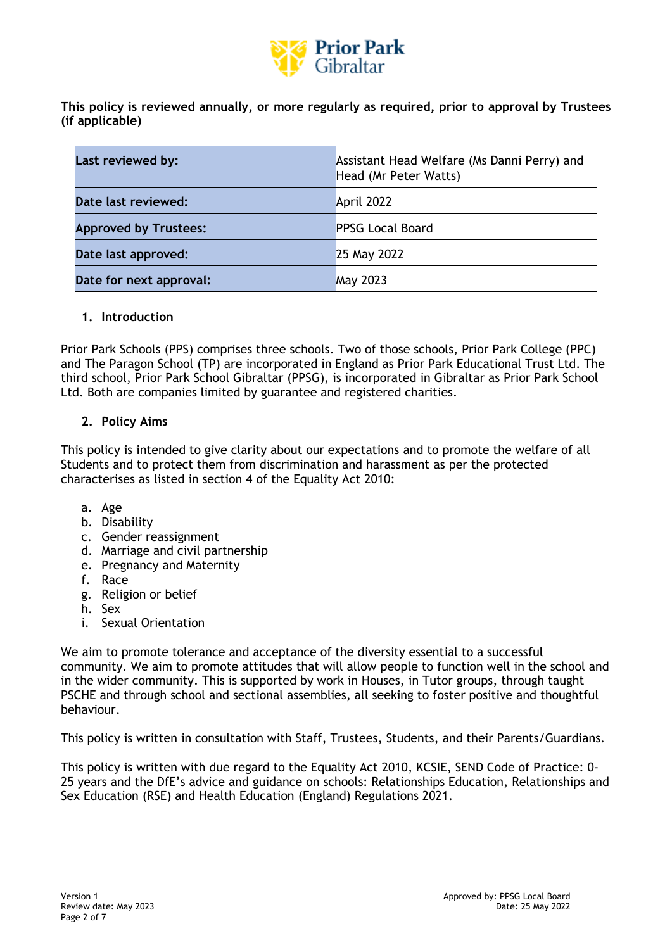

**This policy is reviewed annually, or more regularly as required, prior to approval by Trustees (if applicable)**

| Last reviewed by:            | Assistant Head Welfare (Ms Danni Perry) and<br>Head (Mr Peter Watts) |
|------------------------------|----------------------------------------------------------------------|
| Date last reviewed:          | April 2022                                                           |
| <b>Approved by Trustees:</b> | <b>PPSG Local Board</b>                                              |
| Date last approved:          | 25 May 2022                                                          |
| Date for next approval:      | <b>May 2023</b>                                                      |

### **1. Introduction**

Prior Park Schools (PPS) comprises three schools. Two of those schools, Prior Park College (PPC) and The Paragon School (TP) are incorporated in England as Prior Park Educational Trust Ltd. The third school, Prior Park School Gibraltar (PPSG), is incorporated in Gibraltar as Prior Park School Ltd. Both are companies limited by guarantee and registered charities.

### **2. Policy Aims**

This policy is intended to give clarity about our expectations and to promote the welfare of all Students and to protect them from discrimination and harassment as per the protected characterises as listed in section 4 of the Equality Act 2010:

- a. Age
- b. Disability
- c. Gender reassignment
- d. Marriage and civil partnership
- e. Pregnancy and Maternity
- f. Race
- g. Religion or belief
- h. Sex
- i. Sexual Orientation

We aim to promote tolerance and acceptance of the diversity essential to a successful community. We aim to promote attitudes that will allow people to function well in the school and in the wider community. This is supported by work in Houses, in Tutor groups, through taught PSCHE and through school and sectional assemblies, all seeking to foster positive and thoughtful behaviour.

This policy is written in consultation with Staff, Trustees, Students, and their Parents/Guardians.

This policy is written with due regard to the Equality Act 2010, KCSIE, SEND Code of Practice: 0- 25 years and the DfE's advice and guidance on schools: Relationships Education, Relationships and Sex Education (RSE) and Health Education (England) Regulations 2021.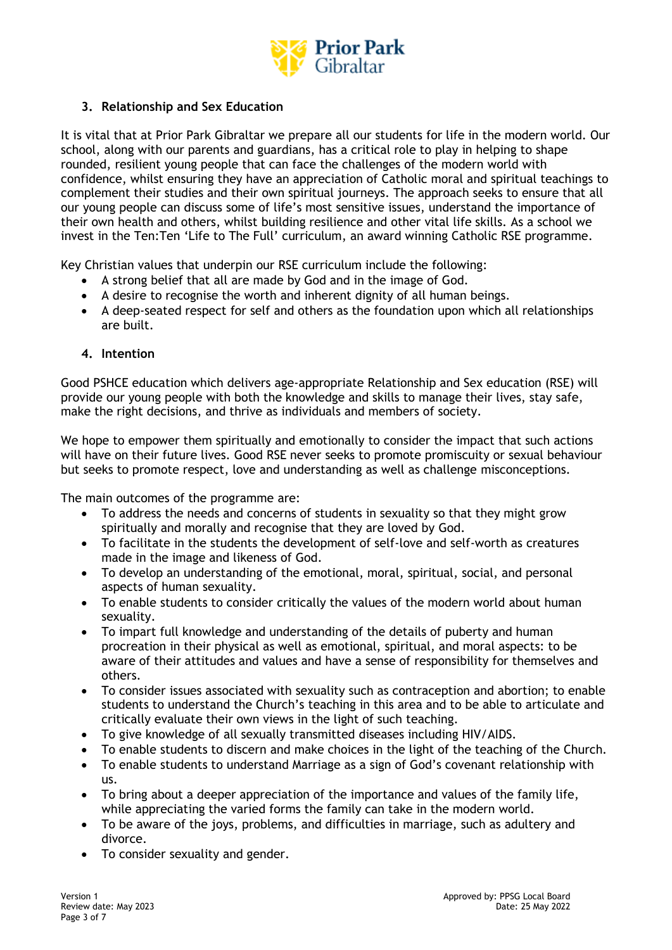

# **3. Relationship and Sex Education**

It is vital that at Prior Park Gibraltar we prepare all our students for life in the modern world. Our school, along with our parents and guardians, has a critical role to play in helping to shape rounded, resilient young people that can face the challenges of the modern world with confidence, whilst ensuring they have an appreciation of Catholic moral and spiritual teachings to complement their studies and their own spiritual journeys. The approach seeks to ensure that all our young people can discuss some of life's most sensitive issues, understand the importance of their own health and others, whilst building resilience and other vital life skills. As a school we invest in the Ten:Ten 'Life to The Full' curriculum, an award winning Catholic RSE programme.

Key Christian values that underpin our RSE curriculum include the following:

- A strong belief that all are made by God and in the image of God.
- A desire to recognise the worth and inherent dignity of all human beings.
- A deep-seated respect for self and others as the foundation upon which all relationships are built.

### **4. Intention**

Good PSHCE education which delivers age-appropriate Relationship and Sex education (RSE) will provide our young people with both the knowledge and skills to manage their lives, stay safe, make the right decisions, and thrive as individuals and members of society.

We hope to empower them spiritually and emotionally to consider the impact that such actions will have on their future lives. Good RSE never seeks to promote promiscuity or sexual behaviour but seeks to promote respect, love and understanding as well as challenge misconceptions.

The main outcomes of the programme are:

- To address the needs and concerns of students in sexuality so that they might grow spiritually and morally and recognise that they are loved by God.
- To facilitate in the students the development of self-love and self-worth as creatures made in the image and likeness of God.
- To develop an understanding of the emotional, moral, spiritual, social, and personal aspects of human sexuality.
- To enable students to consider critically the values of the modern world about human sexuality.
- To impart full knowledge and understanding of the details of puberty and human procreation in their physical as well as emotional, spiritual, and moral aspects: to be aware of their attitudes and values and have a sense of responsibility for themselves and others.
- To consider issues associated with sexuality such as contraception and abortion; to enable students to understand the Church's teaching in this area and to be able to articulate and critically evaluate their own views in the light of such teaching.
- To give knowledge of all sexually transmitted diseases including HIV/AIDS.
- To enable students to discern and make choices in the light of the teaching of the Church.
- To enable students to understand Marriage as a sign of God's covenant relationship with us.
- To bring about a deeper appreciation of the importance and values of the family life, while appreciating the varied forms the family can take in the modern world.
- To be aware of the joys, problems, and difficulties in marriage, such as adultery and divorce.
- To consider sexuality and gender.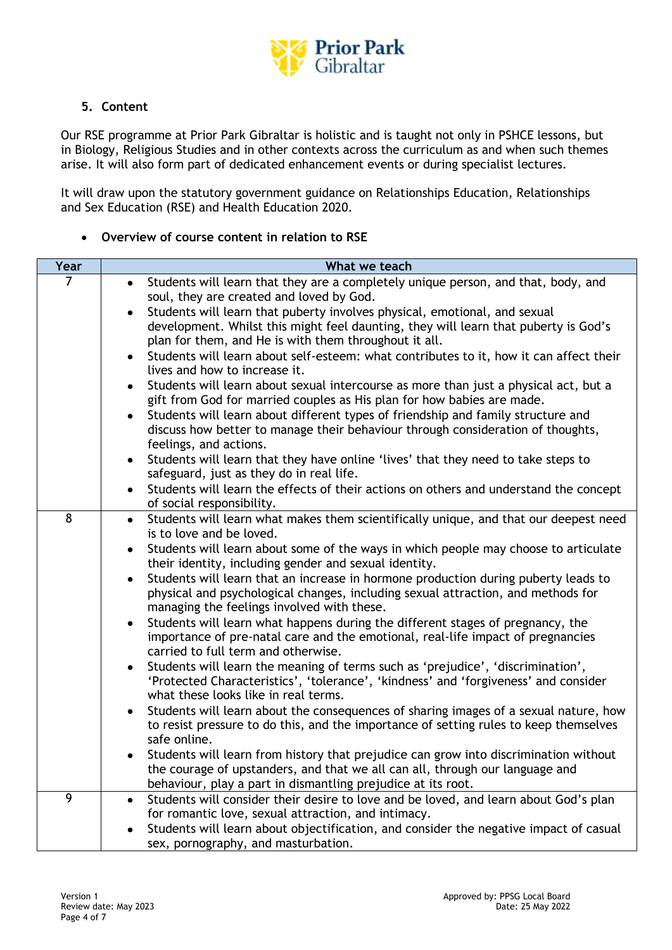

# **5. Content**

Our RSE programme at Prior Park Gibraltar is holistic and is taught not only in PSHCE lessons, but in Biology, Religious Studies and in other contexts across the curriculum as and when such themes arise. It will also form part of dedicated enhancement events or during specialist lectures.

It will draw upon the statutory government guidance on Relationships Education, Relationships and Sex Education (RSE) and Health Education 2020.

### • **Overview of course content in relation to RSE**

| Year           | What we teach                                                                                                                                                          |
|----------------|------------------------------------------------------------------------------------------------------------------------------------------------------------------------|
| $\overline{7}$ | Students will learn that they are a completely unique person, and that, body, and<br>$\bullet$<br>soul, they are created and loved by God.                             |
|                | Students will learn that puberty involves physical, emotional, and sexual                                                                                              |
|                | development. Whilst this might feel daunting, they will learn that puberty is God's                                                                                    |
|                | plan for them, and He is with them throughout it all.                                                                                                                  |
|                | Students will learn about self-esteem: what contributes to it, how it can affect their<br>lives and how to increase it.                                                |
|                | Students will learn about sexual intercourse as more than just a physical act, but a                                                                                   |
|                | gift from God for married couples as His plan for how babies are made.                                                                                                 |
|                | Students will learn about different types of friendship and family structure and                                                                                       |
|                | discuss how better to manage their behaviour through consideration of thoughts,                                                                                        |
|                | feelings, and actions.<br>Students will learn that they have online 'lives' that they need to take steps to                                                            |
|                | safeguard, just as they do in real life.                                                                                                                               |
|                | Students will learn the effects of their actions on others and understand the concept                                                                                  |
|                | of social responsibility.                                                                                                                                              |
| 8              | Students will learn what makes them scientifically unique, and that our deepest need<br>$\bullet$                                                                      |
|                | is to love and be loved.                                                                                                                                               |
|                | Students will learn about some of the ways in which people may choose to articulate                                                                                    |
|                | their identity, including gender and sexual identity.                                                                                                                  |
|                | Students will learn that an increase in hormone production during puberty leads to<br>physical and psychological changes, including sexual attraction, and methods for |
|                | managing the feelings involved with these.<br>Students will learn what happens during the different stages of pregnancy, the                                           |
|                | importance of pre-natal care and the emotional, real-life impact of pregnancies                                                                                        |
|                | carried to full term and otherwise.                                                                                                                                    |
|                | Students will learn the meaning of terms such as 'prejudice', 'discrimination',                                                                                        |
|                | 'Protected Characteristics', 'tolerance', 'kindness' and 'forgiveness' and consider                                                                                    |
|                | what these looks like in real terms.                                                                                                                                   |
|                | Students will learn about the consequences of sharing images of a sexual nature, how                                                                                   |
|                | to resist pressure to do this, and the importance of setting rules to keep themselves                                                                                  |
|                | safe online.                                                                                                                                                           |
|                | Students will learn from history that prejudice can grow into discrimination without<br>the courage of upstanders, and that we all can all, through our language and   |
|                | behaviour, play a part in dismantling prejudice at its root.                                                                                                           |
| 9              | Students will consider their desire to love and be loved, and learn about God's plan                                                                                   |
|                | for romantic love, sexual attraction, and intimacy.                                                                                                                    |
|                | Students will learn about objectification, and consider the negative impact of casual                                                                                  |
|                | sex, pornography, and masturbation.                                                                                                                                    |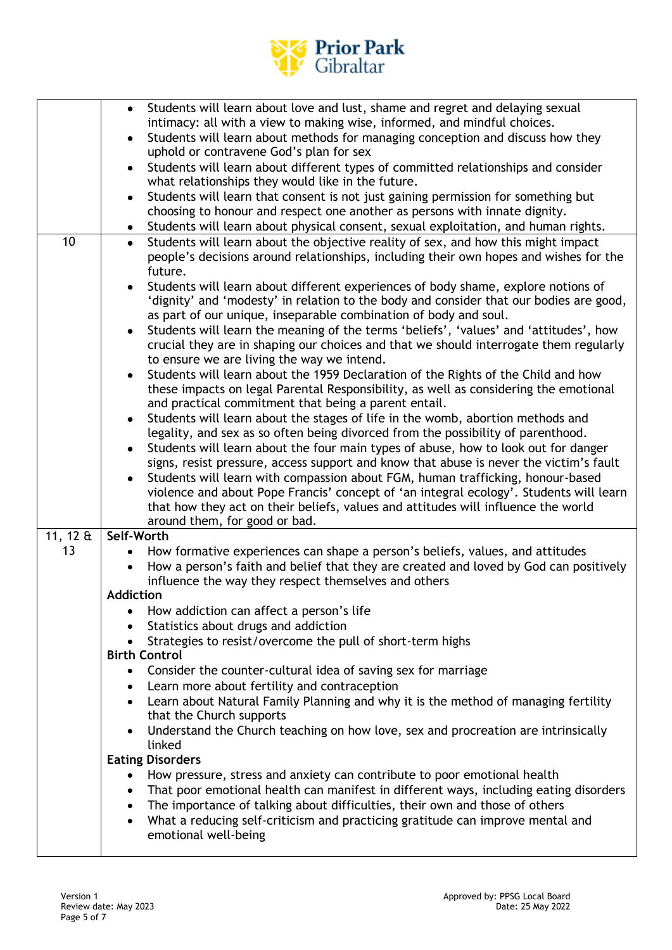

|                 | • Students will learn about love and lust, shame and regret and delaying sexual                                                                                            |
|-----------------|----------------------------------------------------------------------------------------------------------------------------------------------------------------------------|
|                 | intimacy: all with a view to making wise, informed, and mindful choices.                                                                                                   |
|                 | Students will learn about methods for managing conception and discuss how they<br>$\bullet$                                                                                |
|                 | uphold or contravene God's plan for sex                                                                                                                                    |
|                 | Students will learn about different types of committed relationships and consider<br>$\bullet$<br>what relationships they would like in the future.                        |
|                 | Students will learn that consent is not just gaining permission for something but<br>choosing to honour and respect one another as persons with innate dignity.            |
|                 | Students will learn about physical consent, sexual exploitation, and human rights.                                                                                         |
| 10              | Students will learn about the objective reality of sex, and how this might impact<br>$\bullet$                                                                             |
|                 | people's decisions around relationships, including their own hopes and wishes for the                                                                                      |
|                 | future.                                                                                                                                                                    |
|                 | Students will learn about different experiences of body shame, explore notions of                                                                                          |
|                 | 'dignity' and 'modesty' in relation to the body and consider that our bodies are good,                                                                                     |
|                 | as part of our unique, inseparable combination of body and soul.                                                                                                           |
|                 | Students will learn the meaning of the terms 'beliefs', 'values' and 'attitudes', how<br>$\bullet$                                                                         |
|                 | crucial they are in shaping our choices and that we should interrogate them regularly                                                                                      |
|                 | to ensure we are living the way we intend.                                                                                                                                 |
|                 | Students will learn about the 1959 Declaration of the Rights of the Child and how                                                                                          |
|                 | these impacts on legal Parental Responsibility, as well as considering the emotional                                                                                       |
|                 | and practical commitment that being a parent entail.<br>Students will learn about the stages of life in the womb, abortion methods and<br>$\bullet$                        |
|                 | legality, and sex as so often being divorced from the possibility of parenthood.                                                                                           |
|                 | Students will learn about the four main types of abuse, how to look out for danger                                                                                         |
|                 | signs, resist pressure, access support and know that abuse is never the victim's fault                                                                                     |
|                 | Students will learn with compassion about FGM, human trafficking, honour-based                                                                                             |
|                 | violence and about Pope Francis' concept of 'an integral ecology'. Students will learn                                                                                     |
|                 | that how they act on their beliefs, values and attitudes will influence the world                                                                                          |
|                 | around them, for good or bad.                                                                                                                                              |
| 11, 12 $\theta$ | Self-Worth                                                                                                                                                                 |
| 13              | How formative experiences can shape a person's beliefs, values, and attitudes<br>$\bullet$                                                                                 |
|                 | How a person's faith and belief that they are created and loved by God can positively<br>$\bullet$                                                                         |
|                 | influence the way they respect themselves and others<br><b>Addiction</b>                                                                                                   |
|                 | How addiction can affect a person's life                                                                                                                                   |
|                 | Statistics about drugs and addiction                                                                                                                                       |
|                 | Strategies to resist/overcome the pull of short-term highs                                                                                                                 |
|                 | <b>Birth Control</b>                                                                                                                                                       |
|                 | • Consider the counter-cultural idea of saving sex for marriage                                                                                                            |
|                 | • Learn more about fertility and contraception                                                                                                                             |
|                 | Learn about Natural Family Planning and why it is the method of managing fertility                                                                                         |
|                 | that the Church supports                                                                                                                                                   |
|                 | Understand the Church teaching on how love, sex and procreation are intrinsically                                                                                          |
|                 | linked                                                                                                                                                                     |
|                 | <b>Eating Disorders</b>                                                                                                                                                    |
|                 | How pressure, stress and anxiety can contribute to poor emotional health<br>$\bullet$                                                                                      |
|                 | That poor emotional health can manifest in different ways, including eating disorders<br>$\bullet$                                                                         |
|                 | The importance of talking about difficulties, their own and those of others<br>$\bullet$<br>What a reducing self-criticism and practicing gratitude can improve mental and |
|                 | $\bullet$<br>emotional well-being                                                                                                                                          |
|                 |                                                                                                                                                                            |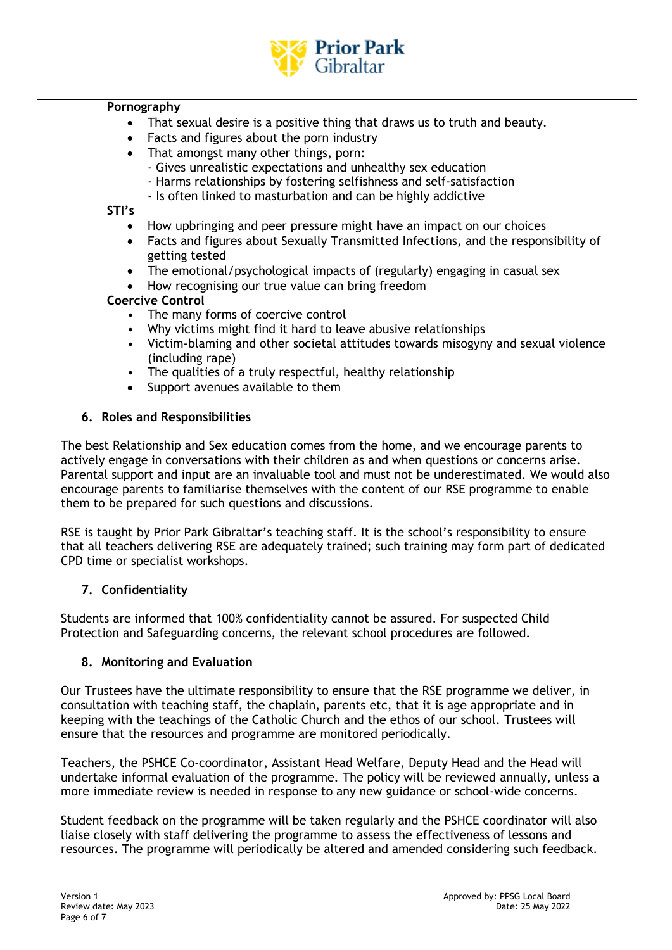

| Pornography                                                                                                       |  |  |
|-------------------------------------------------------------------------------------------------------------------|--|--|
| • That sexual desire is a positive thing that draws us to truth and beauty.                                       |  |  |
| Facts and figures about the porn industry<br>$\bullet$                                                            |  |  |
| That amongst many other things, porn:<br>$\bullet$                                                                |  |  |
| - Gives unrealistic expectations and unhealthy sex education                                                      |  |  |
| - Harms relationships by fostering selfishness and self-satisfaction                                              |  |  |
| - Is often linked to masturbation and can be highly addictive                                                     |  |  |
| STI's                                                                                                             |  |  |
| • How upbringing and peer pressure might have an impact on our choices                                            |  |  |
| Facts and figures about Sexually Transmitted Infections, and the responsibility of<br>$\bullet$<br>getting tested |  |  |
| The emotional/psychological impacts of (regularly) engaging in casual sex<br>$\bullet$                            |  |  |
| How recognising our true value can bring freedom                                                                  |  |  |
| <b>Coercive Control</b>                                                                                           |  |  |
| • The many forms of coercive control                                                                              |  |  |
| Why victims might find it hard to leave abusive relationships                                                     |  |  |
| Victim-blaming and other societal attitudes towards misogyny and sexual violence<br>$\bullet$                     |  |  |
| (including rape)                                                                                                  |  |  |
| • The qualities of a truly respectful, healthy relationship                                                       |  |  |
| Support avenues available to them                                                                                 |  |  |

### **6. Roles and Responsibilities**

The best Relationship and Sex education comes from the home, and we encourage parents to actively engage in conversations with their children as and when questions or concerns arise. Parental support and input are an invaluable tool and must not be underestimated. We would also encourage parents to familiarise themselves with the content of our RSE programme to enable them to be prepared for such questions and discussions.

RSE is taught by Prior Park Gibraltar's teaching staff. It is the school's responsibility to ensure that all teachers delivering RSE are adequately trained; such training may form part of dedicated CPD time or specialist workshops.

## **7. Confidentiality**

Students are informed that 100% confidentiality cannot be assured. For suspected Child Protection and Safeguarding concerns, the relevant school procedures are followed.

### **8. Monitoring and Evaluation**

Our Trustees have the ultimate responsibility to ensure that the RSE programme we deliver, in consultation with teaching staff, the chaplain, parents etc, that it is age appropriate and in keeping with the teachings of the Catholic Church and the ethos of our school. Trustees will ensure that the resources and programme are monitored periodically.

Teachers, the PSHCE Co-coordinator, Assistant Head Welfare, Deputy Head and the Head will undertake informal evaluation of the programme. The policy will be reviewed annually, unless a more immediate review is needed in response to any new guidance or school-wide concerns.

Student feedback on the programme will be taken regularly and the PSHCE coordinator will also liaise closely with staff delivering the programme to assess the effectiveness of lessons and resources. The programme will periodically be altered and amended considering such feedback.